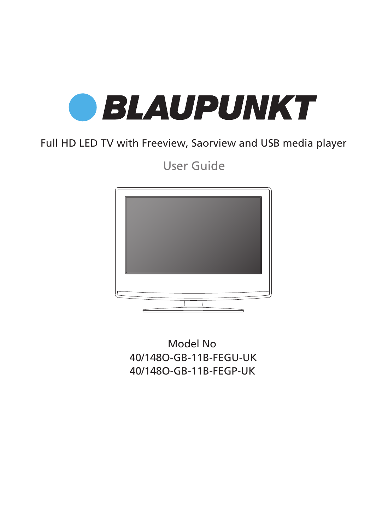

### Full HD LED TV with Freeview, Saorview and USB media player

User Guide



40/148O-GB-11B-FEGU-UK 40/148O-GB-11B-FEGP-UK Model No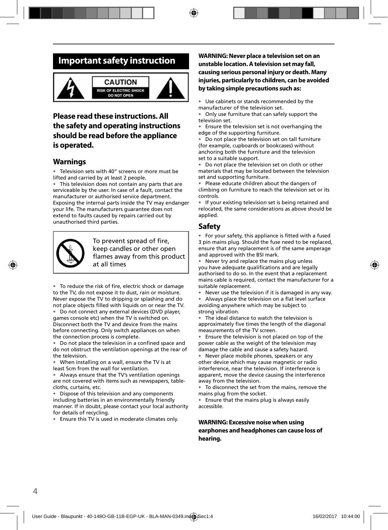### **Important safety instruction**



### **Please read these instructions. All the safety and operating instructions should be read before the appliance is operated.**

### **Warnings**

Television sets with 40" screens or more must be lifted and carried by at least 2 people.

• This television does not contain any parts that are serviceable by the user. In case of a fault, contact the manufacturer or authorised service department. Exposing the internal parts inside the TV may endanger your life. The manufacturers guarantee does not extend to faults caused by repairs carried out by unauthorised third parties.



To prevent spread of fire, keep candles or other open flames away from this product at all times

• To reduce the risk of fire, electric shock or damage to the TV, do not expose it to dust, rain or moisture. Never expose the TV to dripping or splashing and do not place objects filled with liquids on or near the TV.

Do not connect any external devices (DVD player, games console etc) when the TV is switched on. Disconnect both the TV and device from the mains before connecting. Only switch appliances on when the connection process is complete.

• Do not place the television in a confined space and do not obstruct the ventilation openings at the rear of the television.

• When installing on a wall, ensure the TV is at least 5cm from the wall for ventilation.

• Always ensure that the TV's ventilation openings are not covered with items such as newspapers, tablecloths, curtains, etc.

• Dispose of this television and any components including batteries in an environmentally friendly manner. If in doubt, please contact your local authority for details of recycling.

• Ensure this TV is used in moderate climates only.

#### **WARNING: Never place a television set on an unstable location. A television set may fall, causing serious personal injury or death. Many injuries, particularly to children, can be avoided by taking simple precautions such as:**

Use cabinets or stands recommended by the manufacturer of the television set.

• Only use furniture that can safely support the television set.

• Ensure the television set is not overhanging the edge of the supporting furniture.

• Do not place the television set on tall furniture (for example, cupboards or bookcases) without anchoring both the furniture and the television set to a suitable support.

Do not place the television set on cloth or other materials that may be located between the television set and supporting furniture.

• Please educate children about the dangers of climbing on furniture to reach the television set or its controls.

• If your existing television set is being retained and relocated, the same considerations as above should be applied.

### **Safety**

For your safety, this appliance is fitted with a fused 3 pin mains plug. Should the fuse need to be replaced, ensure that any replacement is of the same amperage and approved with the BSI mark.

• Never try and replace the mains plug unless you have adequate qualifications and are legally authorised to do so. In the event that a replacement mains cable is required, contact the manufacturer for a suitable replacement.

Never use the television if it is damaged in any way.

Always place the television on a flat level surface avoiding anywhere which may be subject to strong vibration.

• The ideal distance to watch the television is approximately five times the length of the diagonal measurements of the TV screen.

Ensure the television is not placed on top of the power cable as the weight of the television may damage the cable and cause a safety hazard.

• Never place mobile phones, speakers or any other device which may cause magnetic or radio interference, near the television. If interference is apparent, move the device causing the interference away from the television.

• To disconnect the set from the mains, remove the mains plug from the socket.

• Ensure that the mains plug is always easily accessible.

**WARNING: Excessive noise when using earphones and headphones can cause loss of hearing.**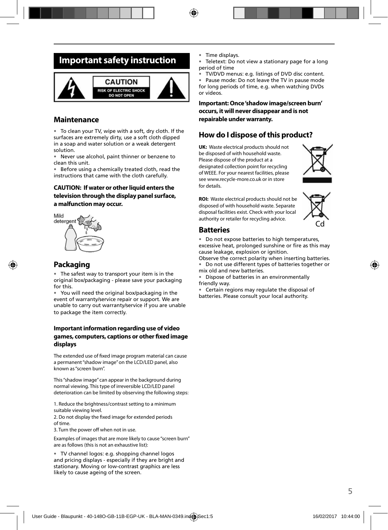### **Important safety instruction**



### **Maintenance**

• To clean your TV, wipe with a soft, dry cloth. If the surfaces are extremely dirty, use a soft cloth dipped in a soap and water solution or a weak detergent solution.

• Never use alcohol, paint thinner or benzene to clean this unit.

• Before using a chemically treated cloth, read the instructions that came with the cloth carefully.

#### **CAUTION: If water or other liquid enters the television through the display panel surface, a malfunction may occur.**



### **Packaging**

The safest way to transport your item is in the original box/packaging - please save your packaging for this.

• You will need the original box/packaging in the event of warranty/service repair or support. We are unable to carry out warranty/service if you are unable to package the item correctly.

#### **Important information regarding use of video games, computers, captions or other fixed image displays**

The extended use of fixed image program material can cause a permanent "shadow image" on the LCD/LED panel, also known as "screen burn".

This "shadow image" can appear in the background during normal viewing. This type of irreversible LCD/LED panel deterioration can be limited by observing the following steps:

1. Reduce the brightness/contrast setting to a minimum suitable viewing level.

2. Do not display the fixed image for extended periods of time.

3. Turn the power off when not in use.

Examples of images that are more likely to cause "screen burn" are as follows (this is not an exhaustive list):

• TV channel logos: e.g. shopping channel logos and pricing displays - especially if they are bright and stationary. Moving or low-contrast graphics are less likely to cause ageing of the screen.

- Time displays.
- Teletext: Do not view a stationary page for a long period of time
- TV/DVD menus: e.g. listings of DVD disc content.

Pause mode: Do not leave the TV in pause mode for long periods of time, e.g. when watching DVDs or videos.

**Important: Once 'shadow image/screen burn' occurs, it will never disappear and is not repairable under warranty.**

### **How do I dispose of this product?**

**UK:** Waste electrical products should not be disposed of with household waste. Please dispose of the product at a designated collection point for recycling of WEEE. For your nearest facilities, please see www.recycle-more.co.uk or in store for details.



**ROI:** Waste electrical products should not be disposed of with household waste. Separate disposal facilities exist. Check with your local authority or retailer for recycling advice.



### **Batteries**

• Do not expose batteries to high temperatures, excessive heat, prolonged sunshine or fire as this may cause leakage, explosion or ignition.

Observe the correct polarity when inserting batteries. • Do not use different types of batteries together or mix old and new batteries.

• Dispose of batteries in an environmentally friendly way.

• Certain regions may regulate the disposal of batteries. Please consult your local authority.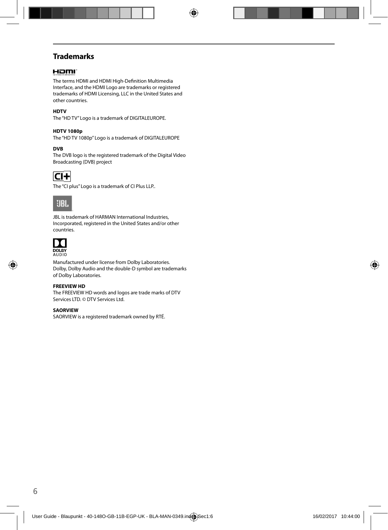### **Trademarks**

### Homr

The terms HDMI and HDMI High-Definition Multimedia Interface, and the HDMI Logo are trademarks or registered trademarks of HDMI Licensing, LLC in the United States and other countries.

#### **HDTV**

The "HD TV" Logo is a trademark of DIGITALEUROPE.

#### **HDTV 1080p**

The "HD TV 1080p" Logo is a trademark of DIGITALEUROPE

#### **DVB**

The DVB logo is the registered trademark of the Digital Video Broadcasting (DVB) project



The "CI plus" Logo is a trademark of CI Plus LLP..



JBL is trademark of HARMAN International Industries, Incorporated, registered in the United States and/or other countries.



Manufactured under license from Dolby Laboratories. Dolby, Dolby Audio and the double-D symbol are trademarks of Dolby Laboratories.

#### **FREEVIEW HD**

The FREEVIEW HD words and logos are trade marks of DTV Services LTD. © DTV Services Ltd.

#### **SAORVIEW**

SAORVIEW is a registered trademark owned by RTÉ.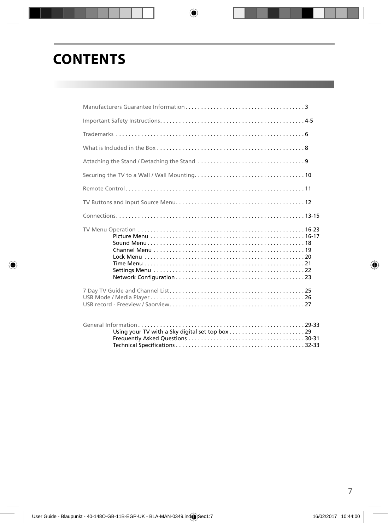# **CONTENTS**

| Using your TV with a Sky digital set top box29 |  |
|------------------------------------------------|--|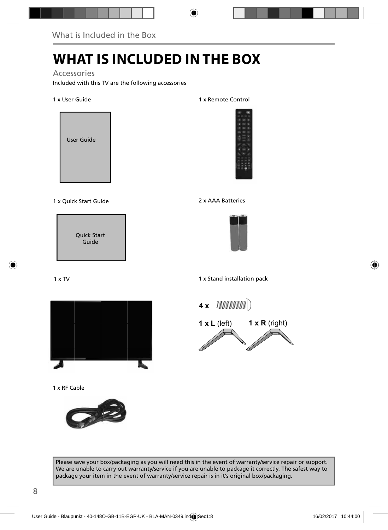# **WHAT IS INCLUDED IN THE BOX**

### Accessories

Included with this TV are the following accessories

#### 1 x User Guide



#### 1 x Quick Start Guide 2 x AAA Batteries

Quick Start Guide

#### 1 x TV



1 x RF Cable



#### 1 x Remote Control





1 x Stand installation pack



Please save your box/packaging as you will need this in the event of warranty/service repair or support. We are unable to carry out warranty/service if you are unable to package it correctly. The safest way to package your item in the event of warranty/service repair is in it's original box/packaging.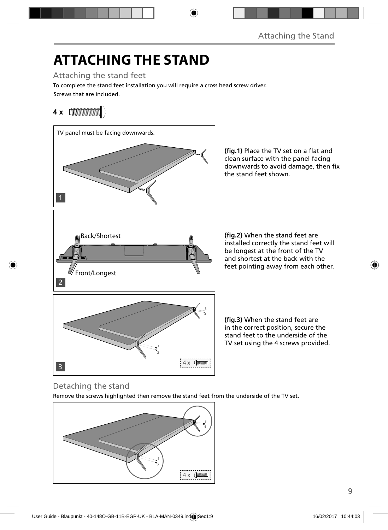# **ATTACHING THE STAND**

Attaching the stand feet

Screws that are included. To complete the stand feet installation you will require a cross head screw driver.

### **4 x** [*MMMMMMM*]



(fig.1) Place the TV set on a flat and clean surface with the panel facing downwards to avoid damage, then fix the stand feet shown.

**(fig.2)** When the stand feet are installed correctly the stand feet will be longest at the front of the TV and shortest at the back with the feet pointing away from each other.

(fig.3) When the stand feet are in the correct position, secure the stand feet to the underside of the TV set using the 4 screws provided.

### Detaching the stand

Remove the screws highlighted then remove the stand feet from the underside of the TV set.

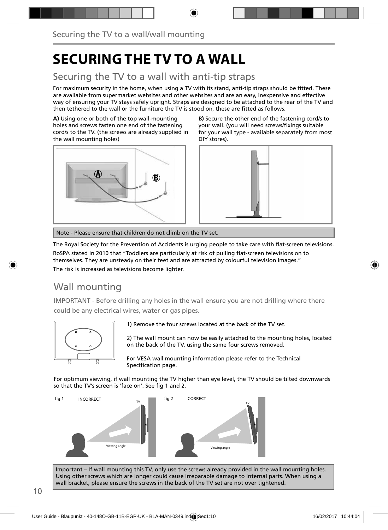# **SECURING THE TV TO A WALL**

### Securing the TV to a wall with anti-tip straps

For maximum security in the home, when using a TV with its stand, anti-tip straps should be fitted. These are available from supermarket websites and other websites and are an easy, inexpensive and effective way of ensuring your TV stays safely upright. Straps are designed to be attached to the rear of the TV and then tethered to the wall or the furniture the TV is stood on, these are fitted as follows.

**A)** Using one or both of the top wall-mounting holes and screws fasten one end of the fastening cord/s to the TV. (the screws are already supplied in the wall mounting holes)



**B)** Secure the other end of the fastening cord/s to your wall. (you will need screws/fixings suitable for your wall type - available separately from most DIY stores).



Note - Please ensure that children do not climb on the TV set.

The Royal Society for the Prevention of Accidents is urging people to take care with flat-screen televisions. RoSPA stated in 2010 that "Toddlers are particularly at risk of pulling flat-screen televisions on to themselves. They are unsteady on their feet and are attracted by colourful television images." The risk is increased as televisions become lighter.

### Wall mounting

IMPORTANT - Before drilling any holes in the wall ensure you are not drilling where there could be any electrical wires, water or gas pipes.



1) Remove the four screws located at the back of the TV set.

2) The wall mount can now be easily attached to the mounting holes, located on the back of the TV, using the same four screws removed.

For VESA wall mounting information please refer to the Technical Specification page.

For optimum viewing, if wall mounting the TV higher than eye level, the TV should be tilted downwards so that the TV's screen is 'face on'. See fig 1 and 2.



Important – If wall mounting this TV, only use the screws already provided in the wall mounting holes. Using other screws which are longer could cause irreparable damage to internal parts. When using a wall bracket, please ensure the screws in the back of the TV set are not over tightened.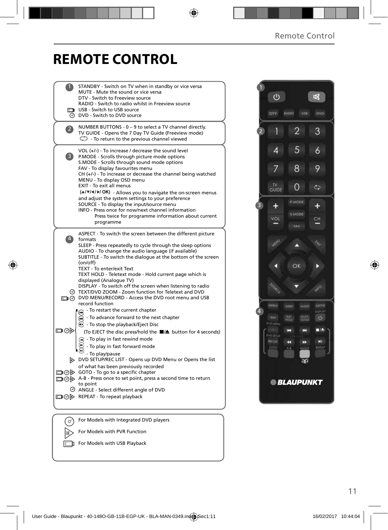# **REMOTE CONTROL**

|                | STANDBY - Switch on TV when in standby or vice versa<br>MUTE - Mute the sound or vice versa<br>DTV - Switch to Freeview source                                                                                                                                                                                                                                                                                                                                                                                                                                                                                                                                                                                 |  |
|----------------|----------------------------------------------------------------------------------------------------------------------------------------------------------------------------------------------------------------------------------------------------------------------------------------------------------------------------------------------------------------------------------------------------------------------------------------------------------------------------------------------------------------------------------------------------------------------------------------------------------------------------------------------------------------------------------------------------------------|--|
|                | RADIO - Switch to radio whilst in Freeview source<br>USB - Switch to USB source<br><b>O</b> DVD - Switch to DVD source                                                                                                                                                                                                                                                                                                                                                                                                                                                                                                                                                                                         |  |
| $\overline{2}$ | NUMBER BUTTONS - 0 - 9 to select a TV channel directly.<br>TV GUIDE - Opens the 7 Day TV Guide (Freeview mode)<br>$\bigcirc$ - To return to the previous channel viewed                                                                                                                                                                                                                                                                                                                                                                                                                                                                                                                                        |  |
| 3)             | VOL (+/-) - To increase / decrease the sound level<br>P.MODE - Scrolls through picture mode options<br>S.MODE - Scrolls through sound mode options<br>FAV - To display favourites menu<br>$CH (+/-)$ - To increase or decrease the channel being watched<br>MENU - To display OSD menu<br>EXIT - To exit all menus<br>(A/V/4/D/OK) - Allows you to navigate the on-screen menus<br>and adjust the system settings to your preference<br>SOURCE - To display the input/source menu<br>INFO - Press once for now/next channel information<br>Press twice for programme information about current<br>programme                                                                                                    |  |
| $\ket{4}$      | ASPECT - To switch the screen between the different picture<br>formats<br>SLEEP - Press repeatedly to cycle through the sleep options<br>AUDIO - To change the audio language (if available)<br>SUBTITLE - To switch the dialogue at the bottom of the screen<br>(on/off)<br>TEXT - To enter/exit Text<br>TEXT HOLD - Teletext mode - Hold current page which is<br>displayed (Analogue TV)<br>DISPLAY - To switch off the screen when listening to radio<br>TEXT/DVD ZOOM - Zoom function for Teletext and DVD<br>DVD MENU/RECORD - Access the DVD root menu and USB<br>record function<br>$\mathbb{R}$ - To restart the current chapter<br>$\widetilde{\mathbf{w}}$ - To advance forward to the next chapter |  |
| ▭◉             | $\odot$ - To stop the playback/Eject Disc<br>(To EJECT the disc press/hold the ■▲ button for 4 seconds)<br>$\left(\bullet\right)$ - To play in fast rewind mode<br>- To play in fast forward mode<br>- To play/pause<br>DVD SETUP/REC LIST - Opens up DVD Menu or Opens the list<br>of what has been previously recorded<br>□ ⊙ > GOTO - To go to a specific chapter<br>A-B - Press once to set point, press a second time to return<br>to point<br>ANGLE - Select different angle of DVD<br>□ ⊙ D REPEAT - To repeat playback                                                                                                                                                                                 |  |
|                | For Models with Integrated DVD players                                                                                                                                                                                                                                                                                                                                                                                                                                                                                                                                                                                                                                                                         |  |
|                | For Models with PVR Function                                                                                                                                                                                                                                                                                                                                                                                                                                                                                                                                                                                                                                                                                   |  |

For Models with USB Playback

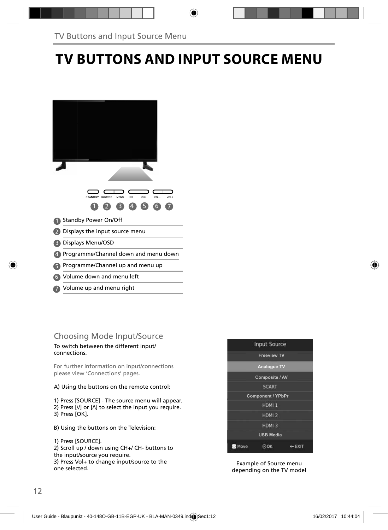# **TV BUTTONS AND INPUT SOURCE MENU**

| SOURCE<br><b>STANDBY</b><br>CH-<br>MENU<br>CH+<br>VOL-<br>VOL+<br>$\overline{A}$<br>R) |
|----------------------------------------------------------------------------------------|
| Standby Power On/Off                                                                   |
| Displays the input source menu                                                         |
| Displays Menu/OSD                                                                      |
| Programme/Channel down and menu down                                                   |
| Programme/Channel up and menu up                                                       |
| Volume down and menu left<br>6                                                         |
| Volume up and menu right                                                               |

### Choosing Mode Input/Source

To switch between the different input/ connections.

For further information on input/connections please view 'Connections' pages.

A) Using the buttons on the remote control:

1) Press [SOURCE] - The source menu will appear. 2) Press  $[V]$  or  $[\Lambda]$  to select the input you require. 3) Press [OK].

B) Using the buttons on the Television:

1) Press [SOURCE].

2) Scroll up / down using CH+/ CH- buttons to the input/source you require. 3) Press Vol+ to change input/source to the

one selected.



Example of Source menu depending on the TV model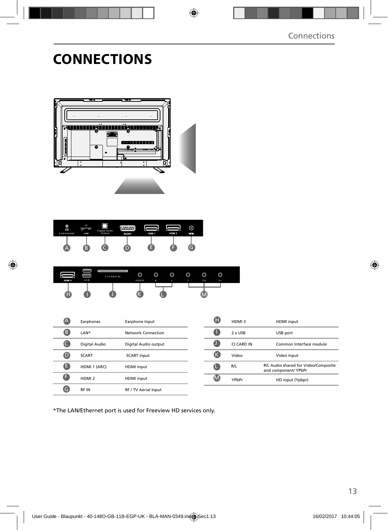# **CONNECTIONS**



| O<br>$\Omega$<br><b>EARPHONE</b> | LAN | Digital Audio<br>Output | mmm<br><b>SCART</b> | HDM 1 | HDM 2 | ര<br>RF IN |  |
|----------------------------------|-----|-------------------------|---------------------|-------|-------|------------|--|
| ⋍                                | B   |                         |                     |       |       |            |  |

| HDM 3 | USB | <b>CI CARD IN</b> | O<br>VIDEO | ◚<br>w<br>$\mathbb{R}$ | ⌒<br>Õ<br>ъ | ◚<br>v<br>v | O<br>Pb | O<br>Pr |  |
|-------|-----|-------------------|------------|------------------------|-------------|-------------|---------|---------|--|
| н     |     |                   |            |                        |             |             |         |         |  |

|   | Earphones         | Earphone Input       |
|---|-------------------|----------------------|
| B | LAN*              | Network Connection   |
|   | Digital Audio     | Digital Audio output |
|   | <b>SCART</b>      | <b>SCART</b> input   |
| Е | HDMI 1 (ARC)      | <b>HDMI</b> input    |
|   | HDMI <sub>2</sub> | <b>HDMI</b> input    |
|   | <b>RFIN</b>       | RF / TV Aerial Input |

| HDMI3      | <b>HDMI</b> input                                            |
|------------|--------------------------------------------------------------|
| 2 x USB    | USB port                                                     |
| CI CARD IN | Common Interface module                                      |
| Video      | Video Input                                                  |
| R/L        | R/L Audio shared for Video/Composite<br>and component/ YPbPr |
| YPhPr      | HD input (Ypbpr)                                             |

\*The LAN/Ethernet port is used for Freeview HD services only.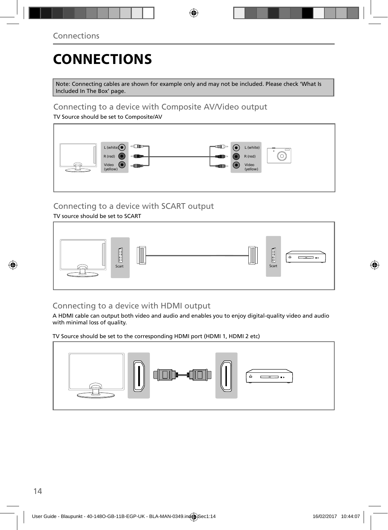# **CONNECTIONS**

Note: Connecting cables are shown for example only and may not be included. Please check 'What Is Included In The Box' page.

### Connecting to a device with Composite AV/Video output

TV Source should be set to Composite/AV



### Connecting to a device with SCART output

TV source should be set to SCART



### Connecting to a device with HDMI output

A HDMI cable can output both video and audio and enables you to enjoy digital-quality video and audio with minimal loss of quality.

TV Source should be set to the corresponding HDMI port (HDMI 1, HDMI 2 etc)

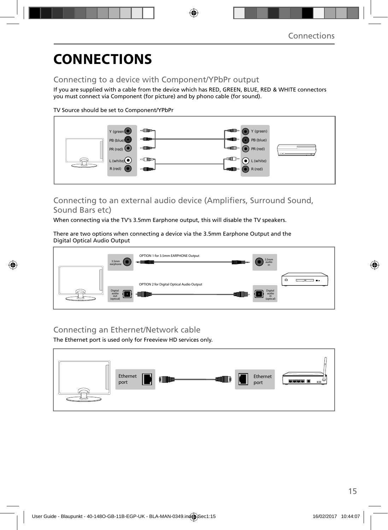# **CONNECTIONS**

### Connecting to a device with Component/YPbPr output

If you are supplied with a cable from the device which has RED, GREEN, BLUE, RED & WHITE connectors you must connect via Component (for picture) and by phono cable (for sound).

TV Source should be set to Component/YPbPr



### Connecting to an external audio device (Amplifiers, Surround Sound, Sound Bars etc)

When connecting via the TV's 3.5mm Earphone output, this will disable the TV speakers.

There are two options when connecting a device via the 3.5mm Earphone Output and the Digital Optical Audio Output



### Connecting an Ethernet/Network cable

The Ethernet port is used only for Freeview HD services only.

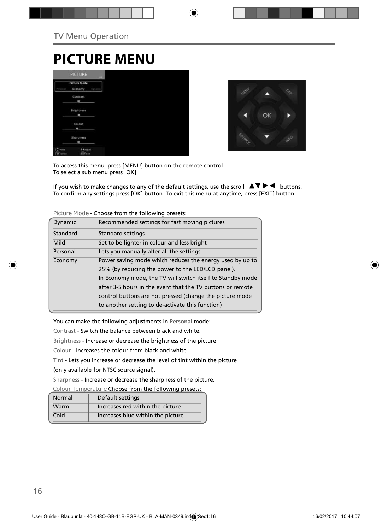### **PICTURE MENU**

|                         | <b>PICTURE</b>                        | <b>SHEET</b> |
|-------------------------|---------------------------------------|--------------|
| rsmal                   | <b>Picture Mode</b><br>Economy        | Dynami       |
|                         | <b>Contrast</b><br>۰                  |              |
|                         | <b>Brightness</b><br>m                |              |
|                         | Colour<br>۰                           |              |
|                         | Sharpness<br>$\overline{\phantom{a}}$ |              |
| Mour<br><b>CK</b> Tered | $\bigodot$ Adjust<br>don't ket        |              |



To access this menu, press [MENU] button on the remote control. To select a sub menu press [OK]

If you wish to make changes to any of the default settings, use the scroll  $\Delta \nabla \blacktriangleright$   $\blacktriangleleft$  buttons. To confirm any settings press [OK] button. To exit this menu at anytime, press [EXIT] button.

| Recommended settings for fast moving pictures              |
|------------------------------------------------------------|
| <b>Standard settings</b>                                   |
| Set to be lighter in colour and less bright                |
| Lets you manually alter all the settings                   |
| Power saving mode which reduces the energy used by up to   |
| 25% (by reducing the power to the LED/LCD panel).          |
| In Economy mode, the TV will switch itself to Standby mode |
| after 3-5 hours in the event that the TV buttons or remote |
| control buttons are not pressed (change the picture mode   |
| to another setting to de-activate this function)           |
|                                                            |

**Picture Mode** - Choose from the following presets:

You can make the following adjustments in **Personal** mode:

Contrast - Switch the balance between black and white.

Brightness - Increase or decrease the brightness of the picture.

Colour - Increases the colour from black and white.

Tint - Lets you increase or decrease the level of tint within the picture

(only available for NTSC source signal).

Sharpness - Increase or decrease the sharpness of the picture.

**Colour Temperature** Choose from the following presets:

| Normal | Default settings                  |
|--------|-----------------------------------|
| Warm   | Increases red within the picture  |
| Cold   | Increases blue within the picture |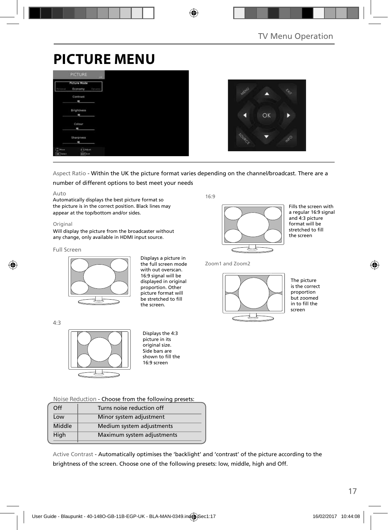# **PICTURE MENU**

|                           | <b>PICTURE</b><br>us:                    |  |  |
|---------------------------|------------------------------------------|--|--|
| <b>Patrick</b>            | <b>Picture Mode</b><br>Economy<br>Dysami |  |  |
|                           | Contrast<br>٠                            |  |  |
|                           | Brightness<br>m                          |  |  |
|                           | Colour<br>۰                              |  |  |
|                           | Sharpness<br>٠                           |  |  |
| Moura<br><b>CK</b> Teract | a Adjust<br>start Latt                   |  |  |



### Aspect Ratio - Within the UK the picture format varies depending on the channel/broadcast. There are a

#### number of different options to best meet your needs

#### Auto

Automatically displays the best picture format so the picture is in the correct position. Black lines may appear at the top/bottom and/or sides.

#### **Original**

Will display the picture from the broadcaster without any change, only available in HDMI input source.

#### Full Screen



Displays a picture in the full screen mode with out overscan. 16:9 signal will be displayed in original proportion. Other picture format will be stretched to fill the screen.

4:3



Displays the 4:3 picture in its original size. Side bars are shown to fill the 16:9 screen

**Noise Reduction** - Choose from the following presets:

| Off    | Turns noise reduction off  |  |
|--------|----------------------------|--|
| Low    | Minor system adjustment    |  |
| Middle | Medium system adjustments  |  |
| High   | Maximum system adjustments |  |
|        |                            |  |

Active Contrast - Automatically optimises the 'backlight' and 'contrast' of the picture according to the brightness of the screen. Choose one of the following presets: low, middle, high and Off.

16:9



Fills the screen with a regular 16:9 signal and 4:3 picture format will be stretched to fill the screen

Zoom1 and Zoom2



The picture is the correct proportion but zoomed in to fill the screen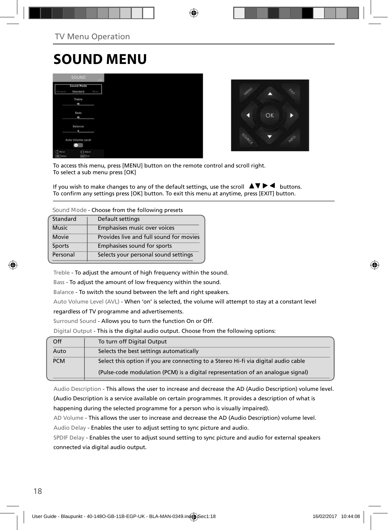# **SOUND MENU**

|                               | <b>SOUND:</b>                     |      |
|-------------------------------|-----------------------------------|------|
| o a                           | Sound Mode<br>Standard            | Now. |
|                               | Treble<br>ı                       |      |
|                               | Bass<br>ı                         |      |
|                               | Balance<br>п                      |      |
|                               | Auto Volume Level<br>$\equiv$     |      |
| $(2)$ Houn<br><b>DK</b> Tered | <b>CRASHE</b><br><b>Earl</b> Katt |      |



To access this menu, press [MENU] button on the remote control and scroll right. To select a sub menu press [OK]

If you wish to make changes to any of the default settings, use the scroll  $\blacktriangle \blacktriangledown \blacktriangleright \blacktriangleleft$  buttons. To confirm any settings press [OK] button. To exit this menu at anytime, press [EXIT] button.

**Sound Mode** - Choose from the following presets

| Standard      | Default settings                        |
|---------------|-----------------------------------------|
| <b>Music</b>  | Emphasises music over voices            |
| Movie         | Provides live and full sound for movies |
| <b>Sports</b> | Emphasises sound for sports             |
| Personal      | Selects your personal sound settings    |
|               |                                         |

Treble - To adjust the amount of high frequency within the sound.

Bass - To adjust the amount of low frequency within the sound.

Balance - To switch the sound between the left and right speakers.

Auto Volume Level (AVL) - When 'on' is selected, the volume will attempt to stay at a constant level

regardless of TV programme and advertisements.

Surround Sound - Allows you to turn the function On or Off.

Digital Output - This is the digital audio output. Choose from the following options:

| Off        | To turn off Digital Output                                                         |
|------------|------------------------------------------------------------------------------------|
| Auto       | Selects the best settings automatically                                            |
| <b>PCM</b> | Select this option if you are connecting to a Stereo Hi-fi via digital audio cable |
|            | (Pulse-code modulation (PCM) is a digital representation of an analogue signal)    |

Audio Description - This allows the user to increase and decrease the AD (Audio Description) volume level.

(Audio Description is a service available on certain programmes. It provides a description of what is happening during the selected programme for a person who is visually impaired).

AD Volume - This allows the user to increase and decrease the AD (Audio Description) volume level.

Audio Delay - Enables the user to adjust setting to sync picture and audio.

SPDIF Delay - Enables the user to adjust sound setting to sync picture and audio for external speakers connected via digital audio output.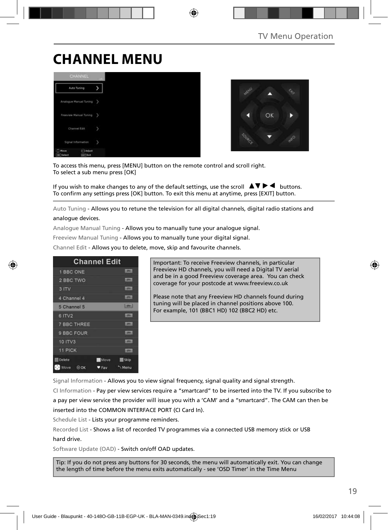# **CHANNEL MENU**





To access this menu, press [MENU] button on the remote control and scroll right. To select a sub menu press [OK]

If you wish to make changes to any of the default settings, use the scroll  $\blacktriangle \blacktriangledown \blacktriangleright \blacktriangleleft$  buttons. To confirm any settings press [OK] button. To exit this menu at anytime, press [EXIT] button.

Auto Tuning - Allows you to retune the television for all digital channels, digital radio stations and analogue devices.

Analogue Manual Tuning - Allows you to manually tune your analogue signal.

Freeview Manual Tuning - Allows you to manually tune your digital signal.

Channel Edit - Allows you to delete, move, skip and favourite channels.

| <b>Channel Edit</b> |             |                |
|---------------------|-------------|----------------|
| 1 BBC ONE           |             | <b>LIBRARY</b> |
| 2 BBC TWO           |             | cone.          |
| 3 ITV               |             | 1,0741         |
| 4 Channel 4         |             | <b>LOCAL</b>   |
| 5 Channel 5         |             | 5000           |
| 6 ITV2              |             | 10041          |
| <b>7 BBC THREE</b>  |             | <b>LOTH</b>    |
| 9 BBC FOUR          |             | <b>DV</b>      |
| 10 ITV3             |             | <b>COVE</b>    |
| 11 PICK             |             | (OW)           |
| <b>Delete</b>       | <b>Move</b> | <b>Skip</b>    |
| Move<br><b>DOK</b>  | ♥ Fav       | Menu           |

Important: To receive Freeview channels, in particular Freeview HD channels, you will need a Digital TV aerial and be in a good Freeview coverage area. You can check coverage for your postcode at www.freeview.co.uk

Please note that any Freeview HD channels found during tuning will be placed in channel positions above 100. For example, 101 (BBC1 HD) 102 (BBC2 HD) etc.

Signal Information - Allows you to view signal frequency, signal quality and signal strength.

CI Information - Pay per view services require a "smartcard" to be inserted into the TV. If you subscribe to a pay per view service the provider will issue you with a 'CAM' and a "smartcard". The CAM can then be inserted into the COMMON INTERFACE PORT (CI Card In).

Schedule List - Lists your programme reminders.

Recorded List - Shows a list of recorded TV programmes via a connected USB memory stick or USB hard drive.

Software Update (OAD) - Switch on/off OAD updates.

Tip: If you do not press any buttons for 30 seconds, the menu will automatically exit. You can change the length of time before the menu exits automatically - see 'OSD Timer' in the Time Menu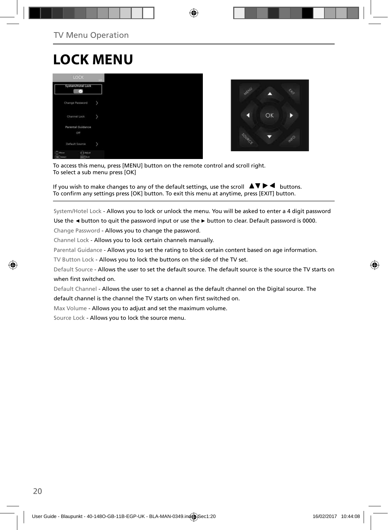# **LOCK MENU**





To access this menu, press [MENU] button on the remote control and scroll right. To select a sub menu press [OK]

If you wish to make changes to any of the default settings, use the scroll  $\blacktriangle \blacktriangledown \blacktriangleright \blacktriangleleft$  buttons. To confirm any settings press [OK] button. To exit this menu at anytime, press [EXIT] button.

System/Hotel Lock - Allows you to lock or unlock the menu. You will be asked to enter a 4 digit password

Use the **◄** button to quit the password input or use the **►** button to clear. Default password is 0000.

Change Password - Allows you to change the password.

Channel Lock - Allows you to lock certain channels manually.

Parental Guidance - Allows you to set the rating to block certain content based on age information.

TV Button Lock - Allows you to lock the buttons on the side of the TV set.

Default Source - Allows the user to set the default source. The default source is the source the TV starts on when first switched on.

Default Channel - Allows the user to set a channel as the default channel on the Digital source. The default channel is the channel the TV starts on when first switched on.

Max Volume - Allows you to adjust and set the maximum volume.

Source Lock - Allows you to lock the source menu.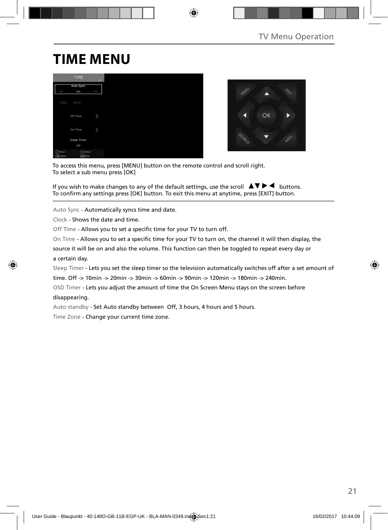# **TIME MENU**

|                              | TIME                          | $-101$     |
|------------------------------|-------------------------------|------------|
| GTE                          | Auto Sync<br>$_{0n}$          | <b>CEP</b> |
| Clock                        | 00:07                         |            |
|                              | Off Time                      | y          |
|                              | On Time                       | Þ          |
|                              | Sleep Timer<br>Off            |            |
| F<br>Nove<br><b>DK</b> Twent | $A$ Adiust<br><b>Earl</b> Cat |            |



To access this menu, press [MENU] button on the remote control and scroll right. To select a sub menu press [OK]

If you wish to make changes to any of the default settings, use the scroll  $\blacktriangle \blacktriangledown \blacktriangleright \blacktriangleleft$  buttons. To confirm any settings press [OK] button. To exit this menu at anytime, press [EXIT] button.

Auto Sync - Automatically syncs time and date.

Clock - Shows the date and time.

Off Time - Allows you to set a specific time for your TV to turn off.

On Time - Allows you to set a specific time for your TV to turn on, the channel it will then display, the

source it will be on and also the volume. This function can then be toggled to repeat every day or a certain day.

Sleep Timer - Lets you set the sleep timer so the television automatically switches off after a set amount of

time. Off -> 10min -> 20min -> 30min -> 60min -> 90min -> 120min -> 180min -> 240min.

OSD Timer - Lets you adjust the amount of time the On Screen Menu stays on the screen before disappearing.

Auto standby - Set Auto standby between Off, 3 hours, 4 hours and 5 hours.

Time Zone - Change your current time zone.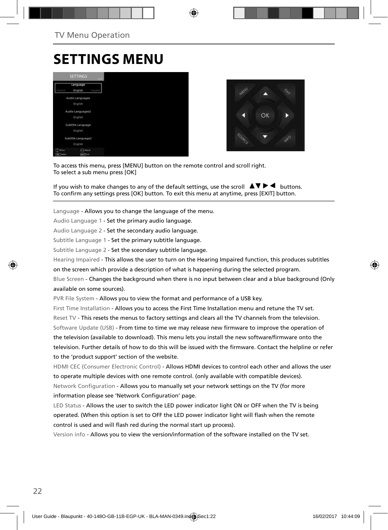### **SETTINGS MENU**





To access this menu, press [MENU] button on the remote control and scroll right. To select a sub menu press [OK]

If you wish to make changes to any of the default settings, use the scroll  $\Box \blacktriangledown \blacktriangleright \blacktriangleleft$  buttons. To confirm any settings press [OK] button. To exit this menu at anytime, press [EXIT] button.

Language - Allows you to change the language of the menu.

Audio Language 1 - Set the primary audio language.

Audio Language 2 - Set the secondary audio language.

Subtitle Language 1 - Set the primary subtitle language.

Subtitle Language 2 - Set the sceondary subtitle language.

Hearing Impaired - This allows the user to turn on the Hearing Impaired function, this produces subtitles

on the screen which provide a description of what is happening during the selected program.

Blue Screen - Changes the background when there is no input between clear and a blue background (Only available on some sources).

PVR File System - Allows you to view the format and performance of a USB key.

First Time Installation - Allows you to access the First Time Installation menu and retune the TV set. Reset TV - This resets the menus to factory settings and clears all the TV channels from the television. Software Update (USB) - From time to time we may release new firmware to improve the operation of the television (available to download). This menu lets you install the new software/firmware onto the television. Further details of how to do this will be issued with the firmware. Contact the helpline or refer to the 'product support' section of the website.

HDMI CEC (Consumer Electronic Control) - Allows HDMI devices to control each other and allows the user to operate multiple devices with one remote control. (only available with compatible devices). Network Configuration - Allows you to manually set your network settings on the TV (for more information please see 'Network Configuration' page.

LED Status - Allows the user to switch the LED power indicator light ON or OFF when the TV is being operated. (When this option is set to OFF the LED power indicator light will flash when the remote control is used and will flash red during the normal start up process).

Version info - Allows you to view the version/information of the software installed on the TV set.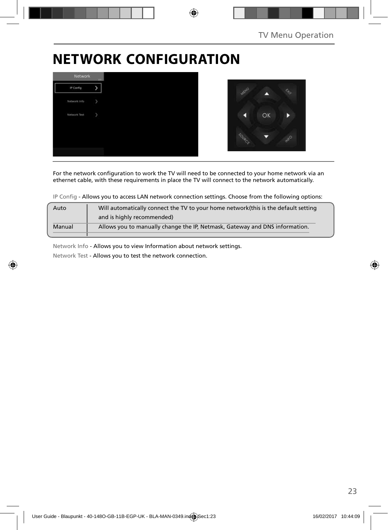# **NETWORK CONFIGURATION**



For the network configuration to work the TV will need to be connected to your home network via an ethernet cable, with these requirements in place the TV will connect to the network automatically.

IP Config - Allows you to access LAN network connection settings. Choose from the following options:

| Auto   | Will automatically connect the TV to your home network (this is the default setting |
|--------|-------------------------------------------------------------------------------------|
|        | and is highly recommended)                                                          |
| Manual | Allows you to manually change the IP, Netmask, Gateway and DNS information.         |
|        |                                                                                     |

Network Info - Allows you to view Information about network settings.

Network Test - Allows you to test the network connection.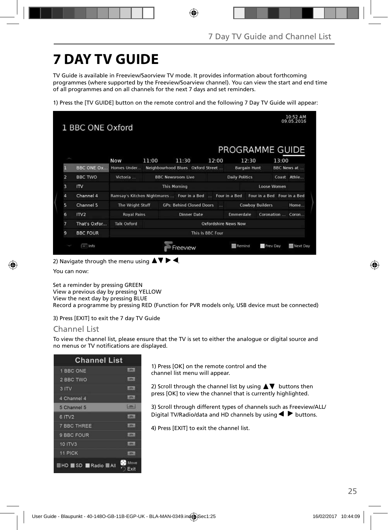# **7 DAY TV GUIDE**

TV Guide is available in Freeview/Saorview TV mode. It provides information about forthcoming programmes (where supported by the Freeview/Soarview channel). You can view the start and end time of all programmes and on all channels for the next 7 days and set reminders.

1) Press the [TV GUIDE] button on the remote control and the following 7 Day TV Guide will appear:

|                |                            |                    |       |                                            |                             | PROGRAMME GUIDE       |                             |                   |                     |
|----------------|----------------------------|--------------------|-------|--------------------------------------------|-----------------------------|-----------------------|-----------------------------|-------------------|---------------------|
|                |                            | <b>Now</b>         | 11:00 | 11:30                                      | 12:00                       |                       | 12:30                       | 13:00             |                     |
| П              | <b>BBC ONE OX</b>          | Homes Under        |       | Neighbourhood Blues Oxford Street          |                             |                       | <b>Bargain Hunt</b>         |                   | <b>BBC News at </b> |
| $\overline{a}$ | <b>BBC TWO</b>             | Victoria           |       | <b>BBC Newsroom Live</b>                   |                             | <b>Daily Politics</b> |                             |                   | Coast Athle         |
| $\overline{3}$ | $\mathsf{I}^{\mathsf{IV}}$ |                    |       | <b>This Morning</b>                        |                             |                       |                             | Loose Women       |                     |
| 4              | Channel 4                  |                    |       | Ramsay's Kitchen Nightmares  Four in a Bed |                             | Four in a Bed         | Four in a Bed Four in a Bed |                   |                     |
| 5              | Channel 5                  | The Wright Stuff   |       | <b>GPs: Behind Closed Doors</b>            | <b>TAX</b>                  |                       | <b>Cowboy Builders</b>      |                   | Home                |
| 6              | ITV2                       | <b>Royal Pains</b> |       | <b>Dinner Date</b>                         |                             | Emmerdale             |                             | Coronation  Coron |                     |
| 7              | That's Oxfor               | <b>Talk Oxford</b> |       |                                            | <b>Oxfordshire News Now</b> |                       |                             |                   |                     |
| 9              | <b>BBC FOUR</b>            | This Is BBC Four   |       |                                            |                             |                       |                             |                   |                     |

2) Navigate through the menu using  $\Delta \nabla \triangleright 4$ .

You can now:

Set a reminder by pressing GREEN View a previous day by pressing YELLOW View the next day by pressing BLUE Record a programme by pressing RED (Function for PVR models only, USB device must be connected)

3) Press [EXIT] to exit the 7 day TV Guide

### Channel List

To view the channel list, please ensure that the TV is set to either the analogue or digital source and no menus or TV notifications are displayed.

| <b>Channel List</b>      |                    |
|--------------------------|--------------------|
| 1 BBC ONE                | <b>SERVICE</b>     |
| 2 BBC TWO                | <b>STORY &amp;</b> |
| 3 ITV                    | <b>LETV 4</b>      |
| 4 Channel 4              | <b>LEW </b>        |
| 5 Channel 5              | <b>CONTRACT</b>    |
| 6 ITV2                   | <b>LESS</b>        |
| <b>7 BBC THREE</b>       | <b>COTAL</b>       |
| 9 BBC FOUR               | <b>SIZENS</b>      |
| <b>10 ITV3</b>           | <b>CENT</b>        |
| 11 PICK                  | <b>HETWA</b>       |
| <b>HHD SD Radio MAII</b> | Move<br>Exit       |

1) Press [OK] on the remote control and the channel list menu will appear.

2) Scroll through the channel list by using  $\blacktriangle \blacktriangledown$  buttons then press [OK] to view the channel that is currently highlighted.

3) Scroll through different types of channels such as Freeview/ALL/ Digital TV/Radio/data and HD channels by using  $\blacktriangleleft$  buttons.

4) Press [EXIT] to exit the channel list.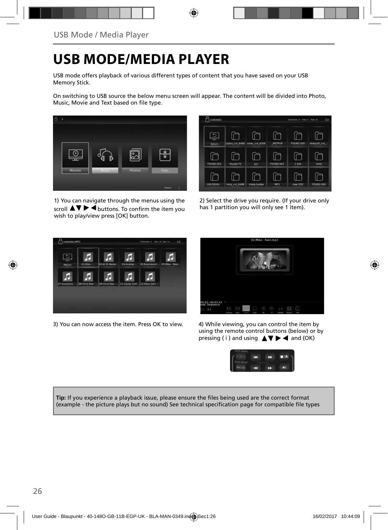# **USB MODE/MEDIA PLAYER**

USB mode offers playback of various different types of content that you have saved on your USB Memory Stick.

On switching to USB source the below menu screen will appear. The content will be divided into Photo, Music. Movie and Text based on file type.



1) You can navigate through the menus using the scroll  $\blacktriangle \blacktriangledown \blacktriangleright \blacktriangleleft$  buttons. To confirm the item you wish to play/view press [OK] button.



2) Select the drive you require. (If your drive only has 1 partition you will only see 1 item).



3) You can now access the item. Press OK to view. 4) While viewing, you can control the item by



using the remote control buttons (below) or by pressing ( i ) and using  $\triangle \blacktriangledown \blacktriangleright \blacktriangleleft$  and (OK)



Tip: If you experience a playback issue, please ensure the files being used are the correct format (example - the picture plays but no sound) See technical specification page for compatible file types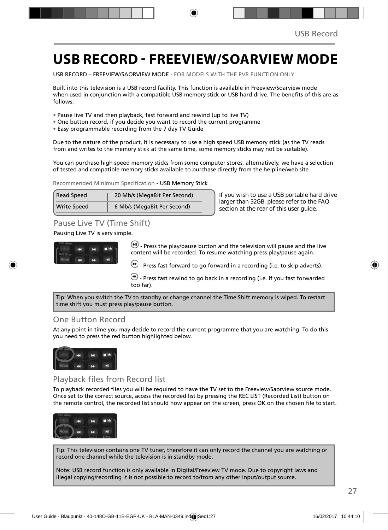### **USB RECORD - FREEVIEW/SOARVIEW MODE**

USB RECORD – FREEVIEW/SAORVIEW MODE - FOR MODELS WITH THE PVR FUNCTION ONLY

Built into this television is a USB record facility. This function is available in Freeview/Soarview mode when used in conjunction with a compatible USB memory stick or USB hard drive. The benefits of this are as follows:

- Pause live TV and then playback, fast forward and rewind (up to live TV)
- One button record, if you decide you want to record the current programme
- Easy programmable recording from the 7 day TV Guide

Due to the nature of the product, it is necessary to use a high speed USB memory stick (as the TV reads from and writes to the memory stick at the same time, some memory sticks may not be suitable).

You can purchase high speed memory sticks from some computer stores, alternatively, we have a selection of tested and compatible memory sticks available to purchase directly from the helpline/web site.

Recommended Minimum Specification - USB Memory Stick

| <b>Read Speed</b>  | 20 Mb/s (MegaBit Per Second) |
|--------------------|------------------------------|
| <b>Write Speed</b> | 6 Mb/s (MegaBit Per Second)  |

**If you wish to use a USB portable hard drive larger than 32GB, please refer to the FAQ section at the rear of this user guide.**

### Pause Live TV (Time Shift)

#### Pausing Live TV is very simple.



 $\left(\blacksquare\right)$  - Press the play/pause button and the television will pause and the live content will be recorded. To resume watching press play/pause again.

 $\bullet$  - Press fast forward to go forward in a recording (i.e. to skip adverts).

 $\bigcirc$  - Press fast rewind to go back in a recording (i.e. if you fast forwarded too far).

Tip: When you switch the TV to standby or change channel the Time Shift memory is wiped. To restart time shift you must press play/pause button.

### One Button Record

At any point in time you may decide to record the current programme that you are watching. To do this you need to press the red button highlighted below.



### Playback files from Record list

To playback recorded files you will be required to have the TV set to the Freeview/Saorview source mode. Once set to the correct source, access the recorded list by pressing the REC LIST (Recorded List) button on the remote control, the recorded list should now appear on the screen, press OK on the chosen file to start.



Tip: This television contains one TV tuner, therefore it can only record the channel you are watching or record one channel while the television is in standby mode.

Note: USB record function is only available in Digital/Freeview TV mode. Due to copyright laws and illegal copying/recording it is not possible to record to/from any other input/output source.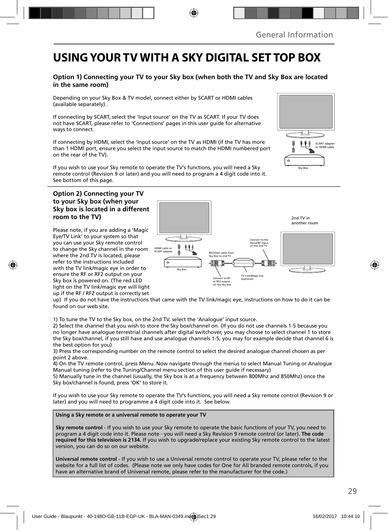### **USING YOUR TV WITH A SKY DIGITAL SET TOP BOX**

#### **Option 1) Connecting your TV to your Sky box (when both the TV and Sky Box are located in the same room)**

Depending on your Sky Box & TV model, connect either by SCART or HDMI cables (available separately) .

If connecting by SCART, select the 'Input source' on the TV as SCART. If your TV does not have SCART, please refer to 'Connections' pages in this user guide for alternative ways to connect.

If connecting by HDMI, select the 'Input source' on the TV as HDMI (if the TV has more than 1 HDMI port, ensure you select the input source to match the HDMI numbered port on the rear of the TV).

If you wish to use your Sky remote to operate the TV's functions, you will need a Sky remote control (Revision 9 or later) and you will need to program a 4 digit code into it. See bottom of this page.

#### **Option 2) Connecting your TV to your Sky box (when your Sky box is located in a different room to the TV)**

Please note, if you are adding a 'Magic Eye/TV Link' to your system so that you can use your Sky remote control to change the Sky channel in the room where the 2nd TV is located, please refer to the instructions included with the TV link/magic eye in order to ensure the RF or RF2 output on your Sky box is powered on. (The red LED light on the TV link/magic eye will light up if the RF / RF2 output is correctly set



up) If you do not have the instructions that came with the TV link/magic eye, instructions on how to do it can be found on our web site.

1) To tune the TV to the Sky box, on the 2nd TV, select the 'Analogue' input source.

2) Select the channel that you wish to store the Sky box/channel on. (If you do not use channels 1-5 because you no longer have analogue terrestrial channels after digital switchover, you may choose to select channel 1 to store the Sky box/channel, if you still have and use analogue channels 1-5, you may for example decide that channel 6 is the best option for you)

3) Press the corresponding number on the remote control to select the desired analogue channel chosen as per point 2 above.

4) On the TV remote control, press Menu. Now navigate through the menus to select Manual Tuning or Analogue Manual tuning (refer to the Tuning/Channel menu section of this user guide if necessary)

5) Manually tune in the channel (usually, the Sky box is at a frequency between 800Mhz and 850Mhz) once the Sky box/channel is found, press 'OK' to store it.

If you wish to use your Sky remote to operate the TV's functions, you will need a Sky remote control (Revision 9 or later) and you will need to programme a 4 digit code into it. See below.

#### **Using a Sky remote or a universal remote to operate your TV**

**Sky remote control** - If you wish to use your Sky remote to operate the basic functions of your TV, you need to program a 4 digit code into it. Please note - you will need a Sky Revision 9 remote control (or later). **The code required for this television is 2134.** If you wish to upgrade/replace your existing Sky remote control to the latest version, you can do so on our website.

**Universal remote control** - If you wish to use a Universal remote control to operate your TV, please refer to the website for a full list of codes. (Please note we only have codes for One for All branded remote controls, if you have an alternative brand of Universal remote, please refer to the manufacturer for the code.)

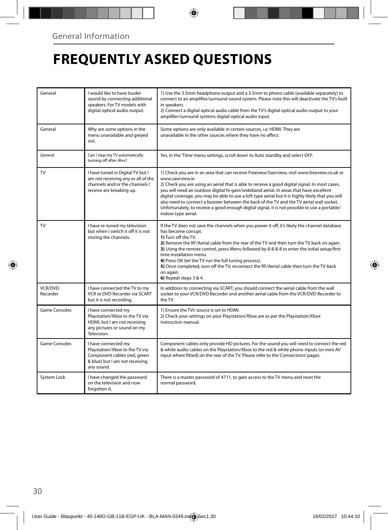# **FREQUENTLY ASKED QUESTIONS**

| General                    | I would like to have louder<br>sound by connecting additional<br>speakers. For TV models with<br>digital optical audio output.        | 1) Use the 3.5mm headphone output and a 3.5mm to phono cable (available separately) to<br>connect to an amplifier/surround sound system. Please note this will deactivate the TV's built<br>in speakers.<br>2) Connect a digital optical audio cable from the TV's digital optical audio output to your<br>amplifier/surround systems digital optical audio input.                                                                                                                                                                                                                                                                  |
|----------------------------|---------------------------------------------------------------------------------------------------------------------------------------|-------------------------------------------------------------------------------------------------------------------------------------------------------------------------------------------------------------------------------------------------------------------------------------------------------------------------------------------------------------------------------------------------------------------------------------------------------------------------------------------------------------------------------------------------------------------------------------------------------------------------------------|
| General                    | Why are some options in the<br>menu unavailable and greyed<br>out.                                                                    | Some options are only available in certain sources, i.e. HDMI. They are<br>unavailable in the other sources where they have no affect.                                                                                                                                                                                                                                                                                                                                                                                                                                                                                              |
| General                    | Can I stop my TV automatically<br>turning off after 4hrs?                                                                             | Yes, in the 'Time' menu settings, scroll down to Auto standby and select OFF.                                                                                                                                                                                                                                                                                                                                                                                                                                                                                                                                                       |
| TV                         | I have tuned in Digital TV but I<br>am not receiving any or all of the<br>channels and/or the channels I<br>receive are breaking up.  | 1) Check you are in an area that can receive Freeview/Saorview, visit www.freeview.co.uk or<br>www.saorview.ie<br>2) Check you are using an aerial that is able to receive a good digital signal. In most cases,<br>you will need an outdoor digital hi-gain/wideband aerial. In areas that have excellent<br>digital coverage, you may be able to use a loft type aerial but it is highly likely that you will<br>also need to connect a booster between the back of the TV and the TV aerial wall socket.<br>Unfortunately, to receive a good enough digital signal, it is not possible to use a portable/<br>indoor type aerial. |
| TV                         | I have re-tuned my television<br>but when I switch it off it is not<br>storing the channels.                                          | If the TV does not save the channels when you power it off, it's likely the channel database<br>has become corrupt.<br>1) Turn off the TV.<br>2) Remove the RF/Aerial cable from the rear of the TV and then turn the TV back on again.<br>3) Using the remote control, press Menu followed by 8-8-8-8 to enter the initial setup/first<br>time installation menu.<br>4) Press OK (let the TV run the full tuning process).<br>5) Once completed, turn off the TV, reconnect the RF/Aerial cable then turn the TV back<br>on again.<br>6) Repeat steps 3 & 4.                                                                       |
| <b>VCR/DVD</b><br>Recorder | I have connected the TV to my<br>VCR or DVD Recorder via SCART<br>but it is not recordina.                                            | In addition to connecting via SCART, you should connect the aerial cable from the wall<br>socket to your VCR/DVD Recorder and another aerial cable from the VCR/DVD Recorder to<br>the TV.                                                                                                                                                                                                                                                                                                                                                                                                                                          |
| <b>Game Consoles</b>       | I have connected my<br>Playstation/Xbox to the TV via<br>HDMI, but I am not receiving<br>any pictures or sound on my<br>Television.   | 1) Ensure the TVs' source is set to HDMI.<br>2) Check your settings on your Playstation/Xbox are as per the Playstation/Xbox<br>instruction manual.                                                                                                                                                                                                                                                                                                                                                                                                                                                                                 |
| <b>Game Consoles</b>       | I have connected my<br>Playstation/Xbox to the TV via<br>Component cables (red, green<br>& blue) but I am not receiving<br>any sound. | Component cables only provide HD pictures. For the sound you will need to connect the red<br>& white audio cables on the Playstation/Xbox to the red & white phono inputs (or mini AV<br>input where fitted) on the rear of the TV. Please refer to the 'Connections' pages.                                                                                                                                                                                                                                                                                                                                                        |
| System Lock                | I have changed the password<br>on the television and now<br>forgotten it.                                                             | There is a master password of 4711, to gain access to the TV menu and reset the<br>normal password.                                                                                                                                                                                                                                                                                                                                                                                                                                                                                                                                 |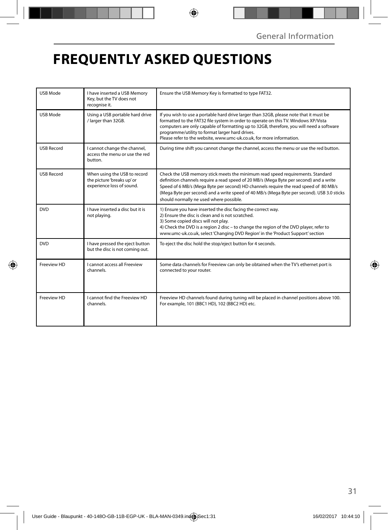# **FREQUENTLY ASKED QUESTIONS**

| <b>USB Mode</b>   | I have inserted a USB Memory<br>Key, but the TV does not<br>recognise it.               | Ensure the USB Memory Key is formatted to type FAT32.                                                                                                                                                                                                                                                                                                                                                     |
|-------------------|-----------------------------------------------------------------------------------------|-----------------------------------------------------------------------------------------------------------------------------------------------------------------------------------------------------------------------------------------------------------------------------------------------------------------------------------------------------------------------------------------------------------|
| <b>USB Mode</b>   | Using a USB portable hard drive<br>/ larger than 32GB.                                  | If you wish to use a portable hard drive larger than 32GB, please note that it must be<br>formatted to the FAT32 file system in order to operate on this TV. Windows XP/Vista<br>computers are only capable of formatting up to 32GB, therefore, you will need a software<br>programme/utility to format larger hard drives.<br>Please refer to the website, www.umc-uk.co.uk, for more information.      |
| <b>USB Record</b> | I cannot change the channel,<br>access the menu or use the red<br>button.               | During time shift you cannot change the channel, access the menu or use the red button.                                                                                                                                                                                                                                                                                                                   |
| <b>USB Record</b> | When using the USB to record<br>the picture 'breaks up' or<br>experience loss of sound. | Check the USB memory stick meets the minimum read speed requirements. Standard<br>definition channels require a read speed of 20 MB/s (Mega Byte per second) and a write<br>Speed of 6 MB/s (Mega Byte per second) HD channels require the read speed of 80 MB/s<br>(Mega Byte per second) and a write speed of 40 MB/s (Mega Byte per second). USB 3.0 sticks<br>should normally ne used where possible. |
| <b>DVD</b>        | I have inserted a disc but it is<br>not playing.                                        | 1) Ensure you have inserted the disc facing the correct way.<br>2) Ensure the disc is clean and is not scratched.<br>3) Some copied discs will not play.<br>4) Check the DVD is a region 2 disc - to change the region of the DVD player, refer to<br>www.umc-uk.co.uk, select 'Changing DVD Region' in the 'Product Support' section                                                                     |
| <b>DVD</b>        | I have pressed the eject button<br>but the disc is not coming out.                      | To eject the disc hold the stop/eject button for 4 seconds.                                                                                                                                                                                                                                                                                                                                               |
| Freeview HD       | <b>Lcannot access all Freeview</b><br>channels.                                         | Some data channels for Freeview can only be obtained when the TV's ethernet port is<br>connected to your router.                                                                                                                                                                                                                                                                                          |
| Freeview HD       | I cannot find the Freeview HD<br>channels.                                              | Freeview HD channels found during tuning will be placed in channel positions above 100.<br>For example, 101 (BBC1 HD), 102 (BBC2 HD) etc.                                                                                                                                                                                                                                                                 |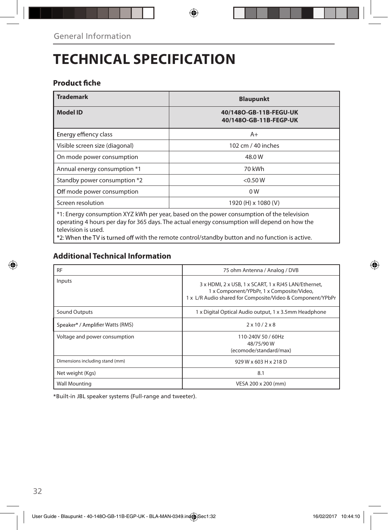# **TECHNICAL SPECIFICATION**

### **Product fiche**

| <b>Trademark</b>                                                                                                                                                                                                 | <b>Blaupunkt</b>                                 |  |  |  |
|------------------------------------------------------------------------------------------------------------------------------------------------------------------------------------------------------------------|--------------------------------------------------|--|--|--|
| <b>Model ID</b>                                                                                                                                                                                                  | 40/1480-GB-11B-FEGU-UK<br>40/1480-GB-11B-FEGP-UK |  |  |  |
| Energy effiency class                                                                                                                                                                                            | $A+$                                             |  |  |  |
| Visible screen size (diagonal)                                                                                                                                                                                   | 102 cm / 40 inches                               |  |  |  |
| On mode power consumption                                                                                                                                                                                        | 48.0 W                                           |  |  |  |
| Annual energy consumption *1                                                                                                                                                                                     | 70 kWh                                           |  |  |  |
| Standby power consumption *2                                                                                                                                                                                     | < 0.50 W                                         |  |  |  |
| Off mode power consumption                                                                                                                                                                                       | 0 <sub>W</sub>                                   |  |  |  |
| Screen resolution                                                                                                                                                                                                | 1920 (H) x 1080 (V)                              |  |  |  |
| *1: Energy consumption XYZ kWh per year, based on the power consumption of the television<br>operating 4 hours per day for 365 days. The actual energy consumption will depend on how the<br>television is used. |                                                  |  |  |  |

 $\bigoplus$ 

with the remote control/standby button and no function is active.

### **Additional Technical Information**

| <b>RF</b>                        | 75 ohm Antenna / Analog / DVB                                                                                                                                   |  |  |
|----------------------------------|-----------------------------------------------------------------------------------------------------------------------------------------------------------------|--|--|
| Inputs                           | 3 x HDMI, 2 x USB, 1 x SCART, 1 x RJ45 LAN/Ethernet,<br>1 x Component/YPbPr, 1 x Composite/Video,<br>1 x L/R Audio shared for Composite/Video & Component/YPbPr |  |  |
| Sound Outputs                    | 1 x Digital Optical Audio output, 1 x 3.5mm Headphone                                                                                                           |  |  |
| Speaker* / Amplifier Watts (RMS) | $2 \times 10 / 2 \times 8$                                                                                                                                      |  |  |
| Voltage and power consumption    | 110-240V 50 / 60Hz<br>48/75/90W<br>(ecomode/standard/max)                                                                                                       |  |  |
| Dimensions including stand (mm)  | 929 W x 603 H x 218 D                                                                                                                                           |  |  |
| Net weight (Kgs)                 | 8.1                                                                                                                                                             |  |  |
| <b>Wall Mounting</b>             | VESA 200 x 200 (mm)                                                                                                                                             |  |  |

\*Built-in JBL speaker systems (Full-range and tweeter).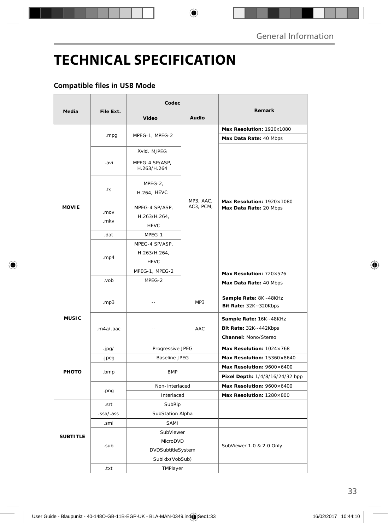# **TECHNICAL SPECIFICATION**

### **Compatible files in USB Mode**

|                 |                | Codec                                         |                        |                                                                         |
|-----------------|----------------|-----------------------------------------------|------------------------|-------------------------------------------------------------------------|
| Media           | File Ext.      | <b>Video</b>                                  | Audio                  | Remark                                                                  |
| <b>MOVIE</b>    | .mpg           | MPEG-1, MPEG-2                                |                        | Max Resolution: 1920x1080                                               |
|                 |                |                                               | MP3, AAC,<br>AC3, PCM, | Max Data Rate: 40 Mbps                                                  |
|                 | .avi           | Xvid, MJPEG                                   |                        | Max Resolution: 1920×1080<br>Max Data Rate: 20 Mbps                     |
|                 |                | MPEG-4 SP/ASP,<br>H.263/H.264                 |                        |                                                                         |
|                 | .ts            | $MPEG-2,$<br><b>H.264, HEVC</b>               |                        |                                                                         |
|                 | .mov<br>.mkv   | MPEG-4 SP/ASP,<br>H.263/H.264,<br><b>HEVC</b> |                        |                                                                         |
|                 | .dat           | MPEG-1                                        |                        |                                                                         |
|                 | .mp4           | MPEG-4 SP/ASP,<br>H.263/H.264,<br><b>HEVC</b> |                        |                                                                         |
|                 |                | MPEG-1, MPEG-2                                |                        | Max Resolution: 720×576                                                 |
|                 | dov.           | MPEG-2                                        |                        | Max Data Rate: 40 Mbps                                                  |
| <b>MUSIC</b>    | .mp3           | Ξ.                                            | MP3                    | Sample Rate: 8K~48KHz<br><b>Bit Rate: 32K ~ 320Kbps</b>                 |
|                 | .m4a/.aac      | $\overline{\phantom{a}}$                      | AAC                    | Sample Rate: 16K~48KHz<br>Bit Rate: 32K~442Kbps<br>Channel: Mono/Stereo |
|                 | .jpg/          | Progressive JPEG                              |                        | Max Resolution: $1024\times768$                                         |
| PHOTO           | .jpeg          | <b>Baseline JPEG</b>                          |                        | Max Resolution: 15360×8640                                              |
|                 | .bmp           | <b>BMP</b>                                    |                        | Max Resolution: 9600×6400<br>Pixel Depth: 1/4/8/16/24/32 bpp            |
|                 | .png           | Non-Interlaced                                |                        | Max Resolution: 9600×6400                                               |
|                 |                | Interlaced                                    |                        | Max Resolution: 1280×800                                                |
|                 | SubRip<br>.srt |                                               |                        |                                                                         |
| <b>SUBTITLE</b> | .ssa/.ass      | SubStation Alpha                              |                        |                                                                         |
|                 | .smi           | <b>SAMI</b>                                   |                        |                                                                         |
|                 | .sub           | SubViewer                                     |                        | SubViewer 1.0 & 2.0 Only                                                |
|                 |                | MicroDVD                                      |                        |                                                                         |
|                 |                | DVDSubtitleSystem                             |                        |                                                                         |
|                 |                | SubIdx (VobSub)                               |                        |                                                                         |
|                 | .txt           | TMPlayer                                      |                        |                                                                         |